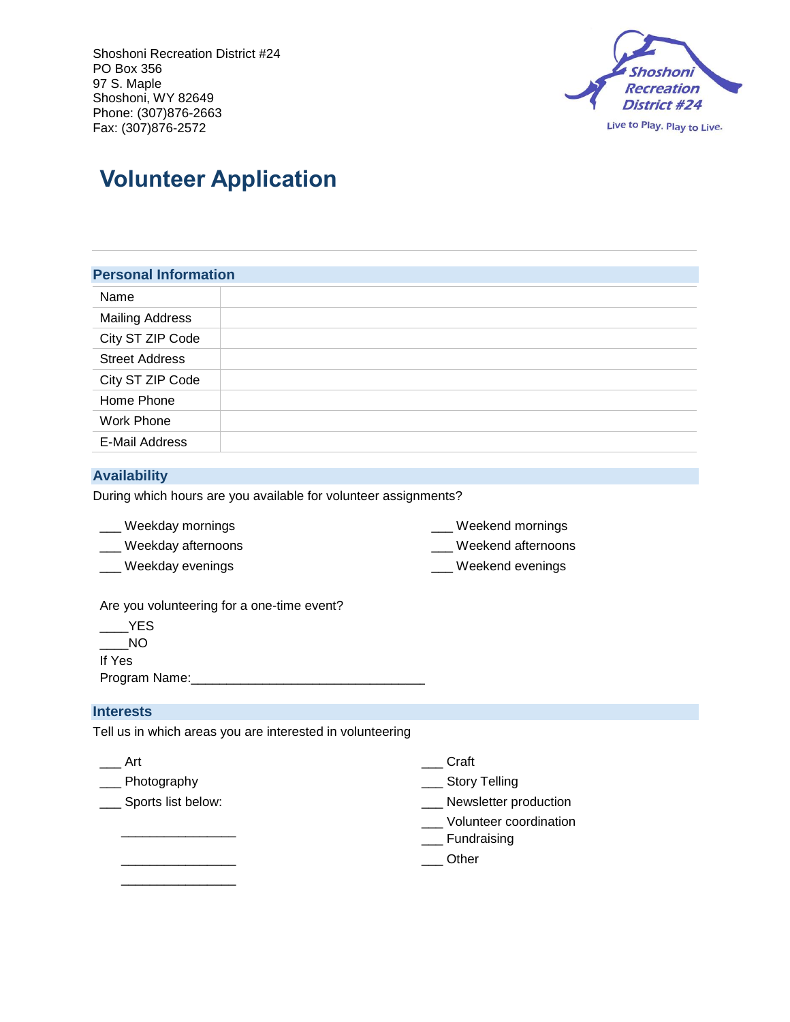

# **Volunteer Application**

#### **Personal Information**

| Name                   |  |
|------------------------|--|
| <b>Mailing Address</b> |  |
| City ST ZIP Code       |  |
| <b>Street Address</b>  |  |
| City ST ZIP Code       |  |
| Home Phone             |  |
| <b>Work Phone</b>      |  |
| E-Mail Address         |  |

## **Availability**

During which hours are you available for volunteer assignments?

- 
- 
- \_\_\_ Weekday mornings \_\_\_ Weekend mornings
- \_\_\_ Weekday afternoons \_\_\_ Weekend afternoons
- \_\_\_ Weekday evenings \_\_\_ Weekend evenings

Are you volunteering for a one-time event?

\_\_\_\_YES \_\_\_\_NO If Yes

Program Name:\_\_\_\_\_\_\_\_\_\_\_\_\_\_\_\_\_\_\_\_\_\_\_\_\_\_\_\_\_\_\_\_\_\_\_\_\_\_\_

## **Interests**

Tell us in which areas you are interested in volunteering

| Art                | Craft                                 |
|--------------------|---------------------------------------|
| Photography        | <b>Story Telling</b>                  |
| Sports list below: | Newsletter production                 |
|                    | Volunteer coordination<br>Fundraising |
|                    | Other                                 |
|                    |                                       |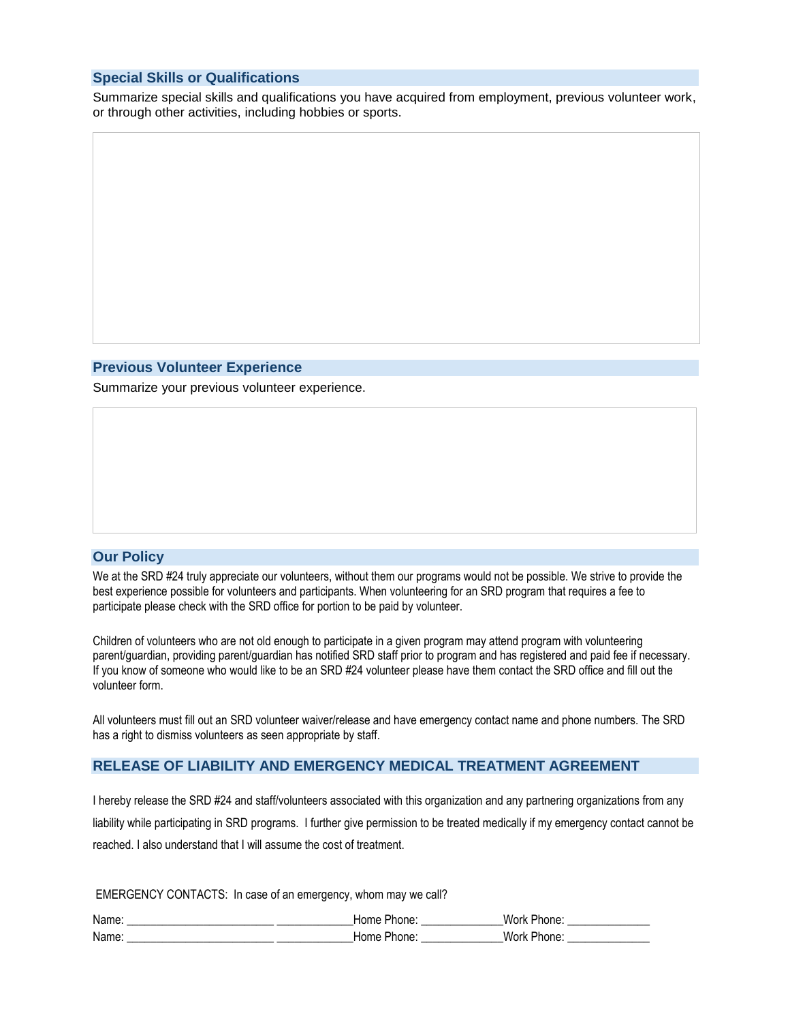## **Special Skills or Qualifications**

Summarize special skills and qualifications you have acquired from employment, previous volunteer work, or through other activities, including hobbies or sports.

#### **Previous Volunteer Experience**

Summarize your previous volunteer experience.

#### **Our Policy**

We at the SRD #24 truly appreciate our volunteers, without them our programs would not be possible. We strive to provide the best experience possible for volunteers and participants. When volunteering for an SRD program that requires a fee to participate please check with the SRD office for portion to be paid by volunteer.

Children of volunteers who are not old enough to participate in a given program may attend program with volunteering parent/guardian, providing parent/guardian has notified SRD staff prior to program and has registered and paid fee if necessary. If you know of someone who would like to be an SRD #24 volunteer please have them contact the SRD office and fill out the volunteer form.

All volunteers must fill out an SRD volunteer waiver/release and have emergency contact name and phone numbers. The SRD has a right to dismiss volunteers as seen appropriate by staff.

## **RELEASE OF LIABILITY AND EMERGENCY MEDICAL TREATMENT AGREEMENT**

I hereby release the SRD #24 and staff/volunteers associated with this organization and any partnering organizations from any liability while participating in SRD programs. I further give permission to be treated medically if my emergency contact cannot be reached. I also understand that I will assume the cost of treatment.

EMERGENCY CONTACTS: In case of an emergency, whom may we call?

| Name <sup>·</sup> | Home<br>rione. | Work<br><b>Phone</b> |
|-------------------|----------------|----------------------|
| Name:             | Home<br>Phone: | Work<br>. Phone:     |